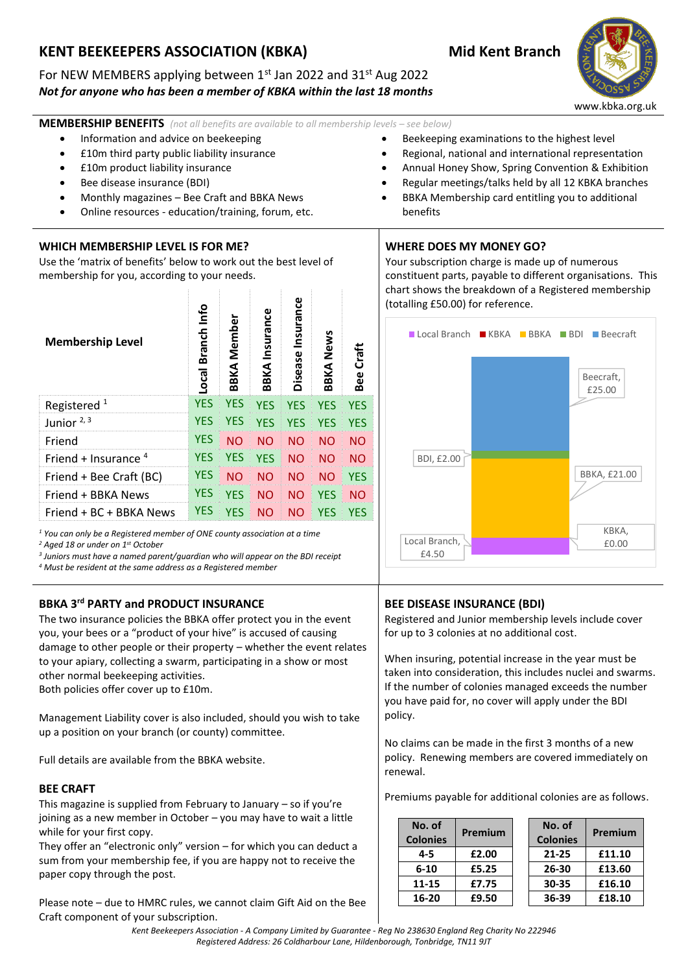# **KENT BEEKEEPERS ASSOCIATION (KBKA) Mid Kent Branch**

## For NEW MEMBERS applying between 1<sup>st</sup> Jan 2022 and 31<sup>st</sup> Aug 2022 *Not for anyone who has been a member of KBKA within the last 18 months*



www.kbka.org.uk

**MEMBERSHIP BENEFITS** (not all benefits are available to all membership levels – see below)

- Information and advice on beekeeping
- £10m third party public liability insurance
- £10m product liability insurance
- Bee disease insurance (BDI)
- Monthly magazines Bee Craft and BBKA News
- Online resources education/training, forum, etc.

#### **WHICH MEMBERSHIP LEVEL IS FOR ME?**

Use the 'matrix of benefits' below to work out the best level of membership for you, according to your needs.

| <b>Membership Level</b> | Info<br>Branch<br>Local | <b>BBKA Member</b> | <b>BBKA</b> Insurance | Insurance<br>Disease | <b>BBKA News</b> | Bee Craft  |
|-------------------------|-------------------------|--------------------|-----------------------|----------------------|------------------|------------|
| Registered $1$          | <b>YES</b>              | <b>YES</b>         | <b>YES</b>            | <b>YES</b>           | <b>YES</b>       | <b>YES</b> |
| Junior $2, 3$           | <b>YES</b>              | <b>YES</b>         | <b>YES</b>            | <b>YES</b>           | <b>YES</b>       | <b>YES</b> |
| Friend                  | <b>YES</b>              | NΟ                 | <b>NO</b>             | NΟ                   | <b>NO</b>        | <b>NO</b>  |
| Friend + Insurance $4$  | YES                     | <b>YES</b>         | <b>YES</b>            | <b>NO</b>            | <b>NO</b>        | <b>NO</b>  |
| Friend + Bee Craft (BC) | <b>YES</b>              | NΟ                 | <b>NO</b>             | <b>NO</b>            | <b>NO</b>        | <b>YES</b> |
| Friend + BBKA News      | <b>YES</b>              | <b>YES</b>         | <b>NO</b>             | <b>NO</b>            | <b>YES</b>       | <b>NO</b>  |
| Friend + BC + BBKA News | <b>YES</b>              | YFS                | <b>NO</b>             | NΟ                   | YES              | YES        |

*<sup>1</sup> You can only be a Registered member of ONE county association at a time*

*<sup>2</sup> Aged 18 or under on 1st October*

*3 Juniors must have a named parent/guardian who will appear on the BDI receipt*

*<sup>4</sup> Must be resident at the same address as a Registered member*

### **BBKA 3rd PARTY and PRODUCT INSURANCE**

The two insurance policies the BBKA offer protect you in the event you, your bees or a "product of your hive" is accused of causing damage to other people or their property – whether the event relates to your apiary, collecting a swarm, participating in a show or most other normal beekeeping activities.

Both policies offer cover up to £10m.

Management Liability cover is also included, should you wish to take up a position on your branch (or county) committee.

Full details are available from the BBKA website.

#### **BEE CRAFT**

This magazine is supplied from February to January – so if you're joining as a new member in October – you may have to wait a little while for your first copy.

They offer an "electronic only" version – for which you can deduct a sum from your membership fee, if you are happy not to receive the paper copy through the post.

Please note – due to HMRC rules, we cannot claim Gift Aid on the Bee Craft component of your subscription.

#### **WHERE DOES MY MONEY GO?**

benefits

Your subscription charge is made up of numerous constituent parts, payable to different organisations. This chart shows the breakdown of a Registered membership (totalling £50.00) for reference.

• Beekeeping examinations to the highest level • Regional, national and international representation • Annual Honey Show, Spring Convention & Exhibition • Regular meetings/talks held by all 12 KBKA branches • BBKA Membership card entitling you to additional



# **BEE DISEASE INSURANCE (BDI)**

Registered and Junior membership levels include cover for up to 3 colonies at no additional cost.

When insuring, potential increase in the year must be taken into consideration, this includes nuclei and swarms. If the number of colonies managed exceeds the number you have paid for, no cover will apply under the BDI policy.

No claims can be made in the first 3 months of a new policy. Renewing members are covered immediately on renewal.

Premiums payable for additional colonies are as follows.

| No. of<br><b>Colonies</b> | Premium | No. of<br><b>Colonies</b> | Premium |
|---------------------------|---------|---------------------------|---------|
| $4 - 5$                   | £2.00   | $21 - 25$                 | £11.10  |
| $6 - 10$                  | £5.25   | 26-30                     | £13.60  |
| 11-15                     | £7.75   | 30-35                     | £16.10  |
| 16-20                     | £9.50   | 36-39                     | £18.10  |